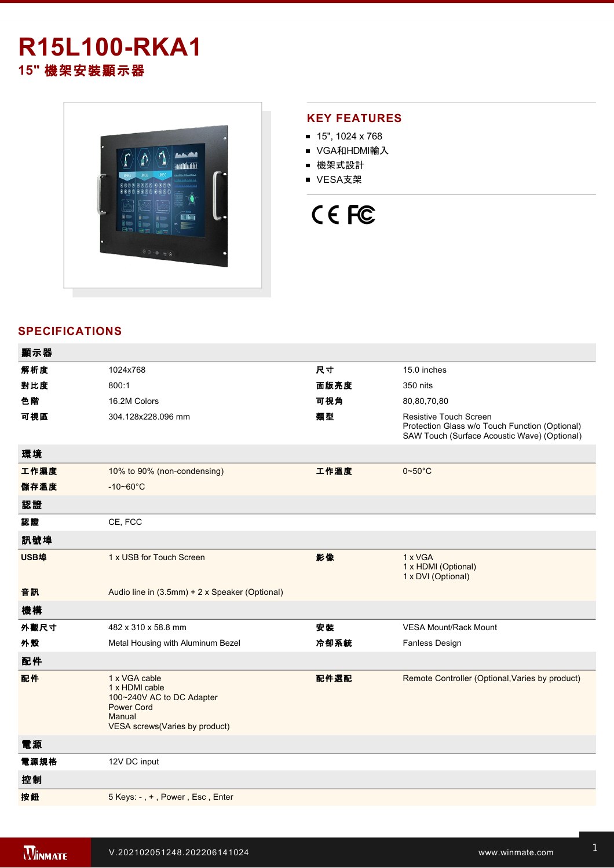## **R15L100-RKA1 15"** 機架安裝顯示器



## **KEY FEATURES**

- 15", 1024 x 768
- VGA和HDMI輸入
- 機架式設計
- VESA支架



## **SPECIFICATIONS**

| 顯示器         |                                                                                                                               |      |                                                                                                                                 |
|-------------|-------------------------------------------------------------------------------------------------------------------------------|------|---------------------------------------------------------------------------------------------------------------------------------|
| 解析度         | 1024x768                                                                                                                      | 尺寸   | 15.0 inches                                                                                                                     |
| 對比度         | 800:1                                                                                                                         | 面版亮度 | 350 nits                                                                                                                        |
| 色階          | 16.2M Colors                                                                                                                  | 可視角  | 80,80,70,80                                                                                                                     |
| 可視區         | 304.128x228.096 mm                                                                                                            | 類型   | <b>Resistive Touch Screen</b><br>Protection Glass w/o Touch Function (Optional)<br>SAW Touch (Surface Acoustic Wave) (Optional) |
| 環境          |                                                                                                                               |      |                                                                                                                                 |
| 工作濕度        | 10% to 90% (non-condensing)                                                                                                   | 工作溫度 | $0 - 50$ °C                                                                                                                     |
| 儲存溫度        | $-10 - 60^{\circ}$ C                                                                                                          |      |                                                                                                                                 |
| 認證          |                                                                                                                               |      |                                                                                                                                 |
| 認證          | CE, FCC                                                                                                                       |      |                                                                                                                                 |
| 訊號埠         |                                                                                                                               |      |                                                                                                                                 |
| <b>USB埠</b> | 1 x USB for Touch Screen                                                                                                      | 影像   | 1 x VGA<br>1 x HDMI (Optional)<br>1 x DVI (Optional)                                                                            |
| 音訊          | Audio line in (3.5mm) + 2 x Speaker (Optional)                                                                                |      |                                                                                                                                 |
| 機構          |                                                                                                                               |      |                                                                                                                                 |
| 外觀尺寸        | 482 x 310 x 58.8 mm                                                                                                           | 安装   | <b>VESA Mount/Rack Mount</b>                                                                                                    |
| 外殼          | Metal Housing with Aluminum Bezel                                                                                             | 冷卻系統 | <b>Fanless Design</b>                                                                                                           |
| 配件          |                                                                                                                               |      |                                                                                                                                 |
| 配件          | 1 x VGA cable<br>1 x HDMI cable<br>100~240V AC to DC Adapter<br><b>Power Cord</b><br>Manual<br>VESA screws(Varies by product) | 配件選配 | Remote Controller (Optional, Varies by product)                                                                                 |
| 電源          |                                                                                                                               |      |                                                                                                                                 |
| 電源規格        | 12V DC input                                                                                                                  |      |                                                                                                                                 |
| 控制          |                                                                                                                               |      |                                                                                                                                 |
| 按鈕          | 5 Keys: -, +, Power, Esc, Enter                                                                                               |      |                                                                                                                                 |
|             |                                                                                                                               |      |                                                                                                                                 |

**DIMENSIONS**  UNIT:MM